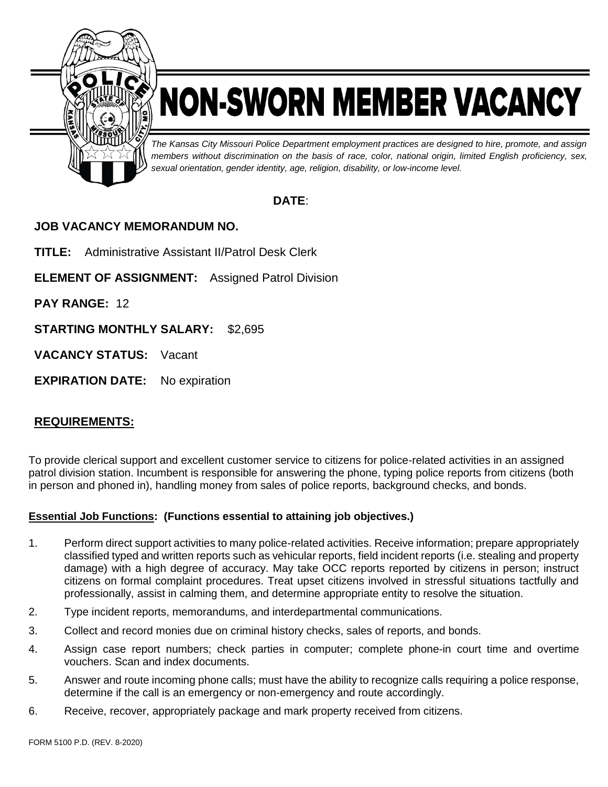

# NON-SWORN MEMBER VACANCY

*The Kansas City Missouri Police Department employment practices are designed to hire, promote, and assign members without discrimination on the basis of race, color, national origin, limited English proficiency, sex, sexual orientation, gender identity, age, religion, disability, or low-income level.*

# **DATE**:

# **JOB VACANCY MEMORANDUM NO.**

**TITLE:** Administrative Assistant II/Patrol Desk Clerk

**ELEMENT OF ASSIGNMENT:** Assigned Patrol Division

**PAY RANGE:** 12

**STARTING MONTHLY SALARY:** \$2,695

**VACANCY STATUS:** Vacant

**EXPIRATION DATE:** No expiration

# **REQUIREMENTS:**

To provide clerical support and excellent customer service to citizens for police-related activities in an assigned patrol division station. Incumbent is responsible for answering the phone, typing police reports from citizens (both in person and phoned in), handling money from sales of police reports, background checks, and bonds.

## **Essential Job Functions: (Functions essential to attaining job objectives.)**

- 1. Perform direct support activities to many police-related activities. Receive information; prepare appropriately classified typed and written reports such as vehicular reports, field incident reports (i.e. stealing and property damage) with a high degree of accuracy. May take OCC reports reported by citizens in person; instruct citizens on formal complaint procedures. Treat upset citizens involved in stressful situations tactfully and professionally, assist in calming them, and determine appropriate entity to resolve the situation.
- 2. Type incident reports, memorandums, and interdepartmental communications.
- 3. Collect and record monies due on criminal history checks, sales of reports, and bonds.
- 4. Assign case report numbers; check parties in computer; complete phone-in court time and overtime vouchers. Scan and index documents.
- 5. Answer and route incoming phone calls; must have the ability to recognize calls requiring a police response, determine if the call is an emergency or non-emergency and route accordingly.
- 6. Receive, recover, appropriately package and mark property received from citizens.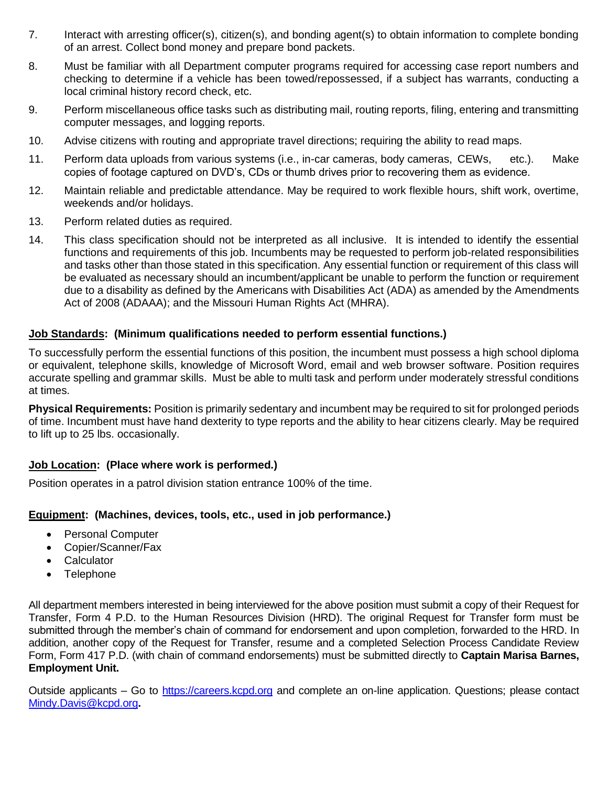- 7. Interact with arresting officer(s), citizen(s), and bonding agent(s) to obtain information to complete bonding of an arrest. Collect bond money and prepare bond packets.
- 8. Must be familiar with all Department computer programs required for accessing case report numbers and checking to determine if a vehicle has been towed/repossessed, if a subject has warrants, conducting a local criminal history record check, etc.
- 9. Perform miscellaneous office tasks such as distributing mail, routing reports, filing, entering and transmitting computer messages, and logging reports.
- 10. Advise citizens with routing and appropriate travel directions; requiring the ability to read maps.
- 11. Perform data uploads from various systems (i.e., in-car cameras, body cameras, CEWs, etc.). Make copies of footage captured on DVD's, CDs or thumb drives prior to recovering them as evidence.
- 12. Maintain reliable and predictable attendance. May be required to work flexible hours, shift work, overtime, weekends and/or holidays.
- 13. Perform related duties as required.
- 14. This class specification should not be interpreted as all inclusive. It is intended to identify the essential functions and requirements of this job. Incumbents may be requested to perform job-related responsibilities and tasks other than those stated in this specification. Any essential function or requirement of this class will be evaluated as necessary should an incumbent/applicant be unable to perform the function or requirement due to a disability as defined by the Americans with Disabilities Act (ADA) as amended by the Amendments Act of 2008 (ADAAA); and the Missouri Human Rights Act (MHRA).

#### **Job Standards: (Minimum qualifications needed to perform essential functions.)**

To successfully perform the essential functions of this position, the incumbent must possess a high school diploma or equivalent, telephone skills, knowledge of Microsoft Word, email and web browser software. Position requires accurate spelling and grammar skills. Must be able to multi task and perform under moderately stressful conditions at times.

**Physical Requirements:** Position is primarily sedentary and incumbent may be required to sit for prolonged periods of time. Incumbent must have hand dexterity to type reports and the ability to hear citizens clearly. May be required to lift up to 25 lbs. occasionally.

## **Job Location: (Place where work is performed.)**

Position operates in a patrol division station entrance 100% of the time.

## **Equipment: (Machines, devices, tools, etc., used in job performance.)**

- Personal Computer
- Copier/Scanner/Fax
- Calculator
- Telephone

All department members interested in being interviewed for the above position must submit a copy of their Request for Transfer, Form 4 P.D. to the Human Resources Division (HRD). The original Request for Transfer form must be submitted through the member's chain of command for endorsement and upon completion, forwarded to the HRD. In addition, another copy of the Request for Transfer, resume and a completed Selection Process Candidate Review Form, Form 417 P.D. (with chain of command endorsements) must be submitted directly to **Captain Marisa Barnes, Employment Unit.**

Outside applicants – Go to [https://careers.kcpd.org](https://careers.kcpd.org/) and complete an on-line application. Questions; please contact [Mindy.Davis@kcpd.org](mailto:Mindy.Davis@kcpd.org)**.**